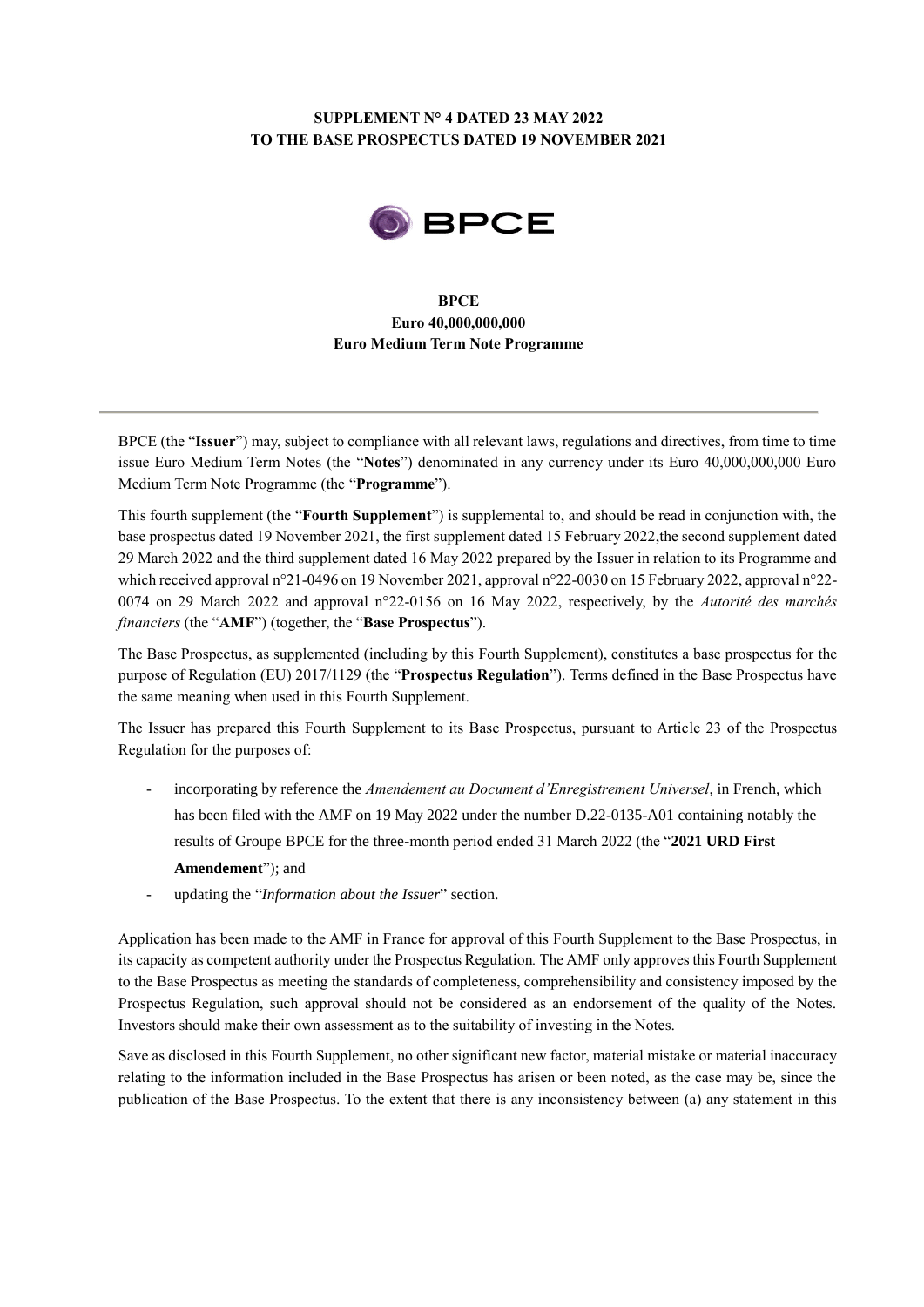# **SUPPLEMENT N° 4 DATED 23 MAY 2022 TO THE BASE PROSPECTUS DATED 19 NOVEMBER 2021**



## **BPCE Euro 40,000,000,000 Euro Medium Term Note Programme**

BPCE (the "**Issuer**") may, subject to compliance with all relevant laws, regulations and directives, from time to time issue Euro Medium Term Notes (the "**Notes**") denominated in any currency under its Euro 40,000,000,000 Euro Medium Term Note Programme (the "**Programme**").

This fourth supplement (the "**Fourth Supplement**") is supplemental to, and should be read in conjunction with, the base prospectus dated 19 November 2021, the first supplement dated 15 February 2022,the second supplement dated 29 March 2022 and the third supplement dated 16 May 2022 prepared by the Issuer in relation to its Programme and which received approval n°21-0496 on 19 November 2021, approval n°22-0030 on 15 February 2022, approval n°22- 0074 on 29 March 2022 and approval n°22-0156 on 16 May 2022, respectively, by the *Autorité des marchés financiers* (the "**AMF**") (together, the "**Base Prospectus**").

The Base Prospectus, as supplemented (including by this Fourth Supplement), constitutes a base prospectus for the purpose of Regulation (EU) 2017/1129 (the "**Prospectus Regulation**"). Terms defined in the Base Prospectus have the same meaning when used in this Fourth Supplement.

The Issuer has prepared this Fourth Supplement to its Base Prospectus, pursuant to Article 23 of the Prospectus Regulation for the purposes of:

- incorporating by reference the *Amendement au Document d'Enregistrement Universel*, in French, which has been filed with the AMF on 19 May 2022 under the number D.22-0135-A01 containing notably the results of Groupe BPCE for the three-month period ended 31 March 2022 (the "**2021 URD First Amendement**"); and
- updating the "*Information about the Issuer*" section.

Application has been made to the AMF in France for approval of this Fourth Supplement to the Base Prospectus, in its capacity as competent authority under the Prospectus Regulation*.* The AMF only approves this Fourth Supplement to the Base Prospectus as meeting the standards of completeness, comprehensibility and consistency imposed by the Prospectus Regulation, such approval should not be considered as an endorsement of the quality of the Notes. Investors should make their own assessment as to the suitability of investing in the Notes.

Save as disclosed in this Fourth Supplement, no other significant new factor, material mistake or material inaccuracy relating to the information included in the Base Prospectus has arisen or been noted, as the case may be, since the publication of the Base Prospectus. To the extent that there is any inconsistency between (a) any statement in this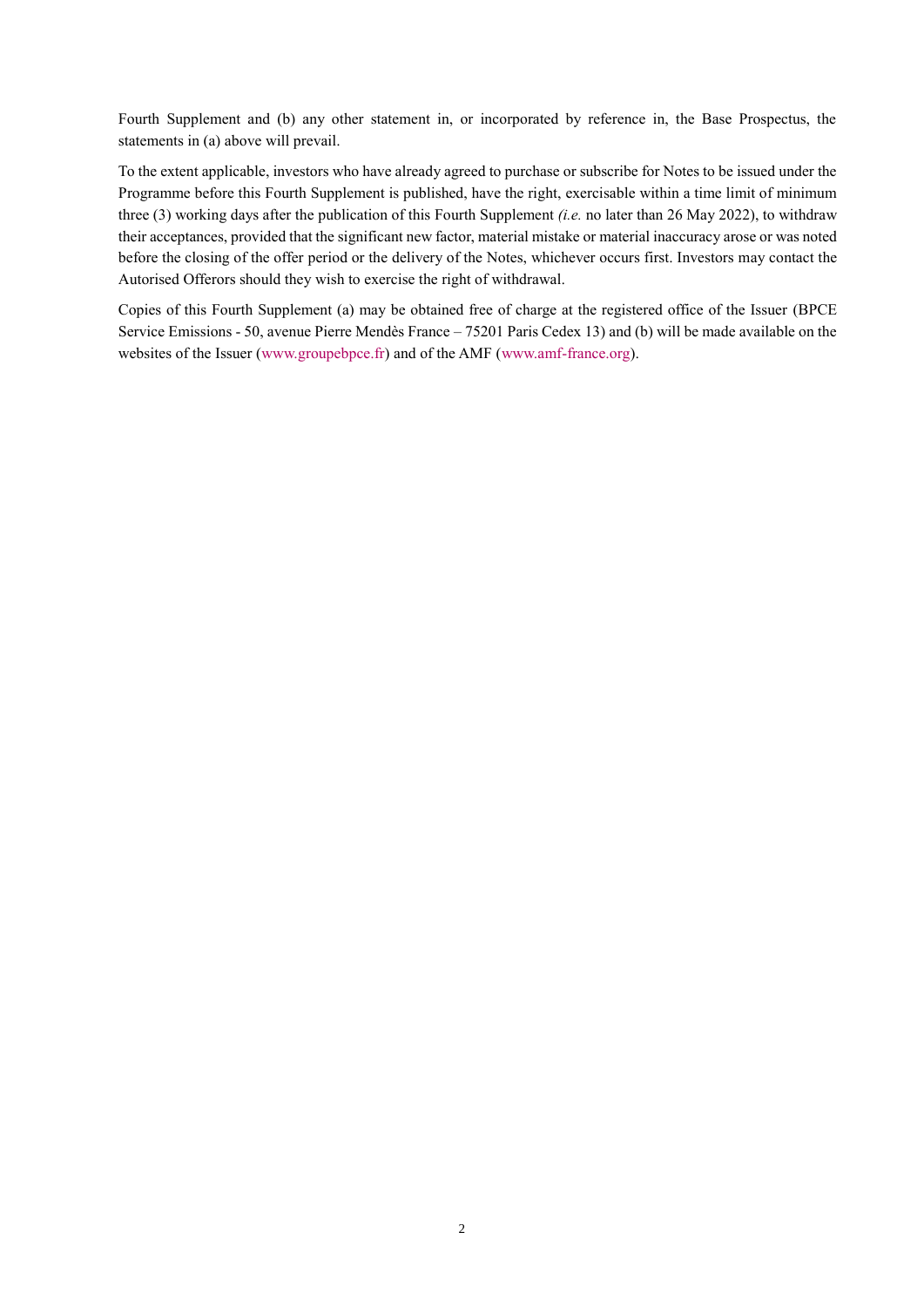Fourth Supplement and (b) any other statement in, or incorporated by reference in, the Base Prospectus, the statements in (a) above will prevail.

To the extent applicable, investors who have already agreed to purchase or subscribe for Notes to be issued under the Programme before this Fourth Supplement is published, have the right, exercisable within a time limit of minimum three (3) working days after the publication of this Fourth Supplement *(i.e.* no later than 26 May 2022), to withdraw their acceptances, provided that the significant new factor, material mistake or material inaccuracy arose or was noted before the closing of the offer period or the delivery of the Notes, whichever occurs first. Investors may contact the Autorised Offerors should they wish to exercise the right of withdrawal.

Copies of this Fourth Supplement (a) may be obtained free of charge at the registered office of the Issuer (BPCE Service Emissions - 50, avenue Pierre Mendès France – 75201 Paris Cedex 13) and (b) will be made available on the websites of the Issuer [\(www.groupebpce.fr\)](http://www.groupebpce.fr/) and of the AMF [\(www.amf-france.org\)](http://www.amf-france.org/).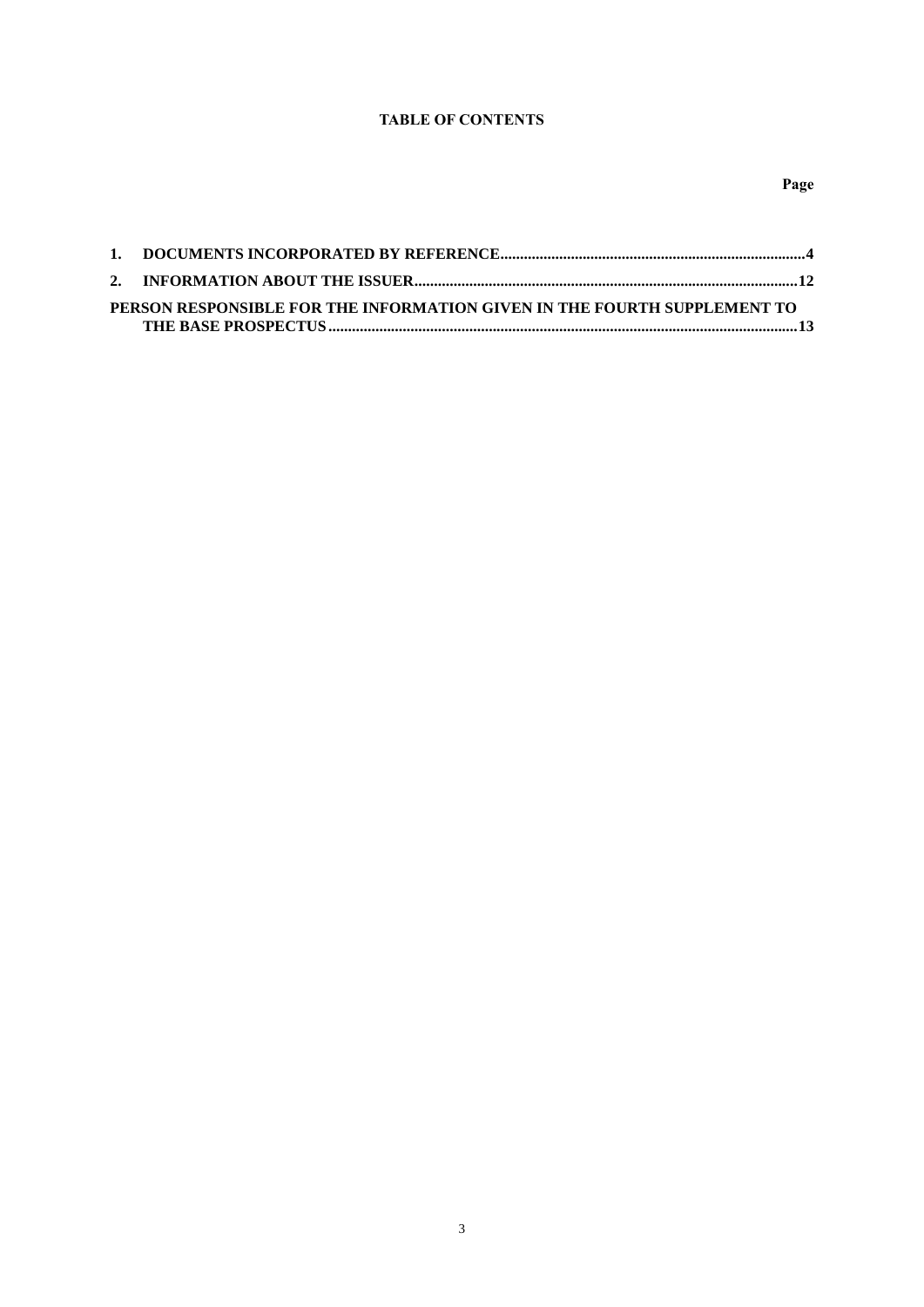## **TABLE OF CONTENTS**

| PERSON RESPONSIBLE FOR THE INFORMATION GIVEN IN THE FOURTH SUPPLEMENT TO |  |
|--------------------------------------------------------------------------|--|
|                                                                          |  |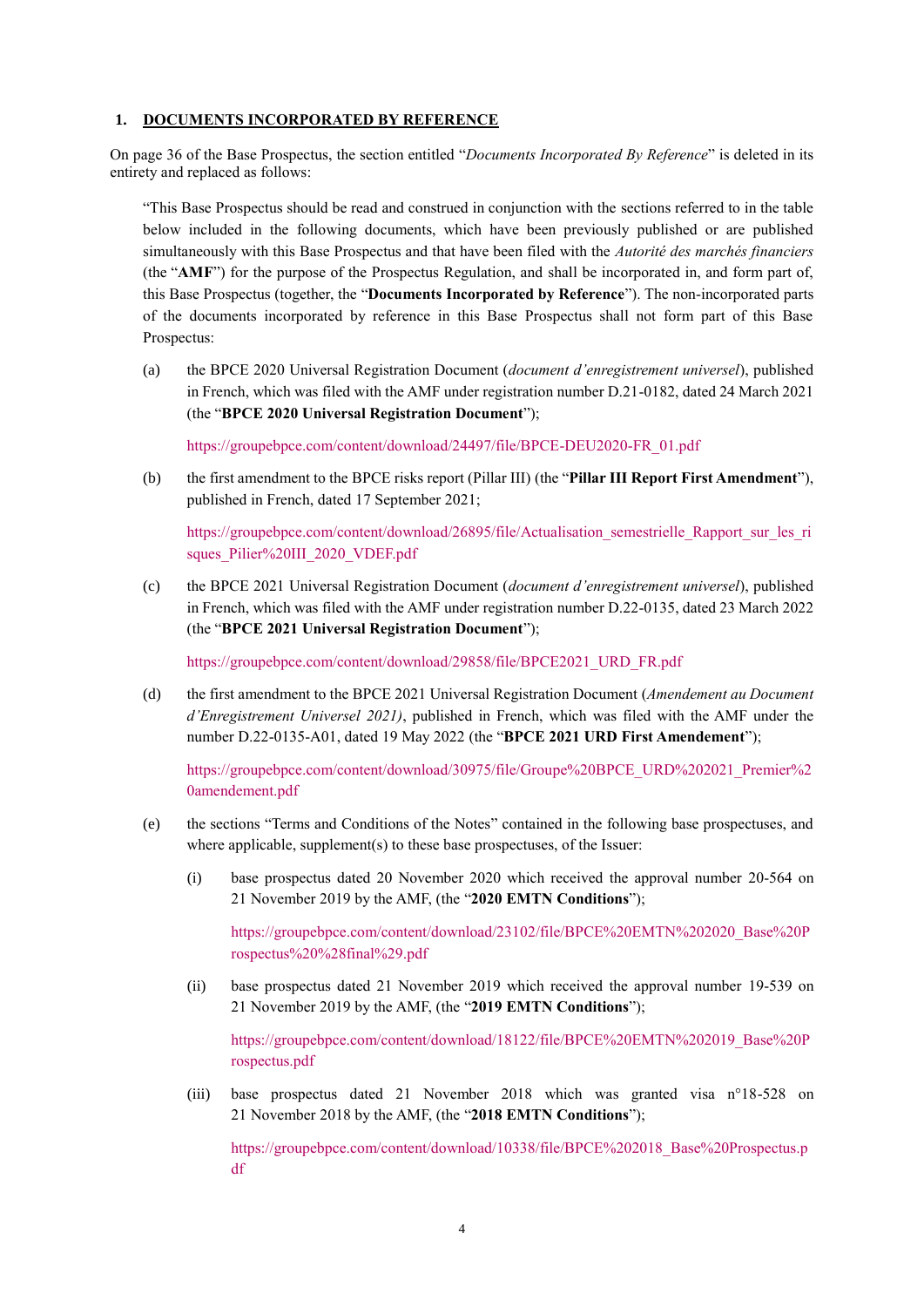#### <span id="page-3-0"></span>**1. DOCUMENTS INCORPORATED BY REFERENCE**

On page 36 of the Base Prospectus, the section entitled "*Documents Incorporated By Reference*" is deleted in its entirety and replaced as follows:

"This Base Prospectus should be read and construed in conjunction with the sections referred to in the table below included in the following documents, which have been previously published or are published simultaneously with this Base Prospectus and that have been filed with the *Autorité des marchés financiers* (the "**AMF**") for the purpose of the Prospectus Regulation, and shall be incorporated in, and form part of, this Base Prospectus (together, the "**Documents Incorporated by Reference**"). The non-incorporated parts of the documents incorporated by reference in this Base Prospectus shall not form part of this Base Prospectus:

(a) the BPCE 2020 Universal Registration Document (*document d'enregistrement universel*), published in French, which was filed with the AMF under registration number D.21-0182, dated 24 March 2021 (the "**BPCE 2020 Universal Registration Document**");

[https://groupebpce.com/content/download/24497/file/BPCE-DEU2020-FR\\_01.pdf](https://groupebpce.com/content/download/24497/file/BPCE-DEU2020-FR_01.pdf)

(b) the first amendment to the BPCE risks report (Pillar III) (the "**Pillar III Report First Amendment**"), published in French, dated 17 September 2021;

[https://groupebpce.com/content/download/26895/file/Actualisation\\_semestrielle\\_Rapport\\_sur\\_les\\_ri](https://groupebpce.com/content/download/26895/file/Actualisation_semestrielle_Rapport_sur_les_risques_Pilier%20III_2020_VDEF.pdf) [sques\\_Pilier%20III\\_2020\\_VDEF.pdf](https://groupebpce.com/content/download/26895/file/Actualisation_semestrielle_Rapport_sur_les_risques_Pilier%20III_2020_VDEF.pdf)

(c) the BPCE 2021 Universal Registration Document (*document d'enregistrement universel*), published in French, which was filed with the AMF under registration number D.22-0135, dated 23 March 2022 (the "**BPCE 2021 Universal Registration Document**");

[https://groupebpce.com/content/download/29858/file/BPCE2021\\_URD\\_FR.pdf](https://groupebpce.com/content/download/29858/file/BPCE2021_URD_FR.pdf)

(d) the first amendment to the BPCE 2021 Universal Registration Document (*Amendement au Document d'Enregistrement Universel 2021)*, published in French, which was filed with the AMF under the number D.22-0135-A01, dated 19 May 2022 (the "**BPCE 2021 URD First Amendement**");

[https://groupebpce.com/content/download/30975/file/Groupe%20BPCE\\_URD%202021\\_Premier%2](https://groupebpce.com/content/download/30975/file/Groupe%20BPCE_URD%202021_Premier%20amendement.pdf) [0amendement.pdf](https://groupebpce.com/content/download/30975/file/Groupe%20BPCE_URD%202021_Premier%20amendement.pdf)

- (e) the sections "Terms and Conditions of the Notes" contained in the following base prospectuses, and where applicable, supplement(s) to these base prospectuses, of the Issuer:
	- (i) base prospectus dated 20 November 2020 which received the approval number 20-564 on 21 November 2019 by the AMF, (the "**2020 EMTN Conditions**");

[https://groupebpce.com/content/download/23102/file/BPCE%20EMTN%202020\\_Base%20P](https://groupebpce.com/content/download/23102/file/BPCE%20EMTN%202020_Base%20Prospectus%20%28final%29.pdf) [rospectus%20%28final%29.pdf](https://groupebpce.com/content/download/23102/file/BPCE%20EMTN%202020_Base%20Prospectus%20%28final%29.pdf)

(ii) base prospectus dated 21 November 2019 which received the approval number 19-539 on 21 November 2019 by the AMF, (the "**2019 EMTN Conditions**");

[https://groupebpce.com/content/download/18122/file/BPCE%20EMTN%202019\\_Base%20P](https://groupebpce.com/content/download/18122/file/BPCE%20EMTN%202019_Base%20Prospectus.pdf) [rospectus.pdf](https://groupebpce.com/content/download/18122/file/BPCE%20EMTN%202019_Base%20Prospectus.pdf)

(iii) base prospectus dated 21 November 2018 which was granted visa n°18-528 on 21 November 2018 by the AMF, (the "**2018 EMTN Conditions**");

[https://groupebpce.com/content/download/10338/file/BPCE%202018\\_Base%20Prospectus.p](https://groupebpce.com/content/download/10338/file/BPCE%202018_Base%20Prospectus.pdf) [df](https://groupebpce.com/content/download/10338/file/BPCE%202018_Base%20Prospectus.pdf)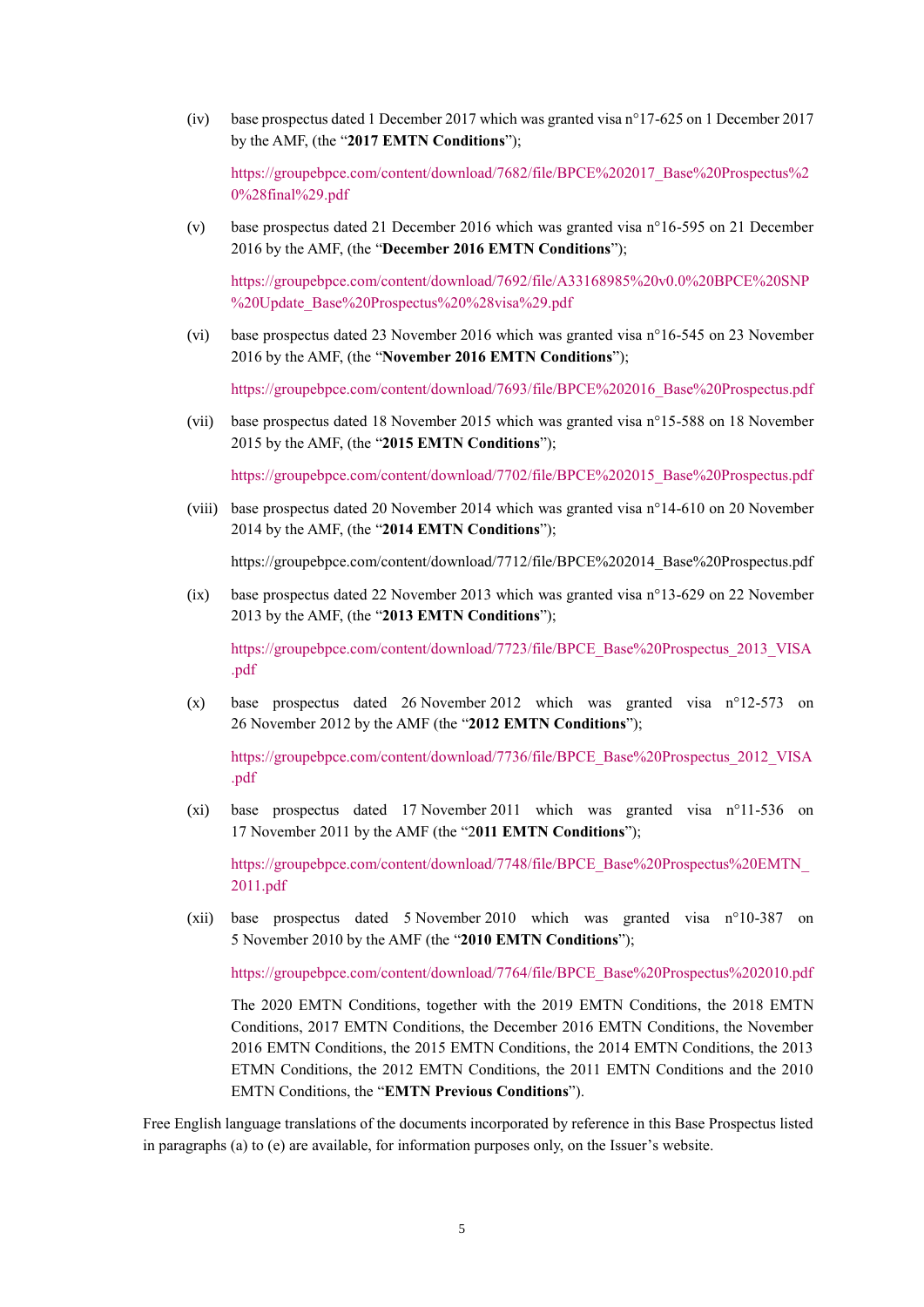(iv) base prospectus dated 1 December 2017 which was granted visa n°17-625 on 1 December 2017 by the AMF, (the "**2017 EMTN Conditions**");

[https://groupebpce.com/content/download/7682/file/BPCE%202017\\_Base%20Prospectus%2](https://groupebpce.com/content/download/7682/file/BPCE%202017_Base%20Prospectus%20%28final%29.pdf) [0%28final%29.pdf](https://groupebpce.com/content/download/7682/file/BPCE%202017_Base%20Prospectus%20%28final%29.pdf)

(v) base prospectus dated 21 December 2016 which was granted visa n°16-595 on 21 December 2016 by the AMF, (the "**December 2016 EMTN Conditions**");

[https://groupebpce.com/content/download/7692/file/A33168985%20v0.0%20BPCE%20SNP](https://groupebpce.com/content/download/7692/file/A33168985%20v0.0%20BPCE%20SNP%20Update_Base%20Prospectus%20%28visa%29.pdf) [%20Update\\_Base%20Prospectus%20%28visa%29.pdf](https://groupebpce.com/content/download/7692/file/A33168985%20v0.0%20BPCE%20SNP%20Update_Base%20Prospectus%20%28visa%29.pdf)

(vi) base prospectus dated 23 November 2016 which was granted visa n°16-545 on 23 November 2016 by the AMF, (the "**November 2016 EMTN Conditions**");

[https://groupebpce.com/content/download/7693/file/BPCE%202016\\_Base%20Prospectus.pdf](https://groupebpce.com/content/download/7693/file/BPCE%202016_Base%20Prospectus.pdf)

(vii) base prospectus dated 18 November 2015 which was granted visa n°15-588 on 18 November 2015 by the AMF, (the "**2015 EMTN Conditions**");

[https://groupebpce.com/content/download/7702/file/BPCE%202015\\_Base%20Prospectus.pdf](https://groupebpce.com/content/download/7702/file/BPCE%202015_Base%20Prospectus.pdf)

(viii) base prospectus dated 20 November 2014 which was granted visa n°14-610 on 20 November 2014 by the AMF, (the "**2014 EMTN Conditions**");

https://groupebpce.com/content/download/7712/file/BPCE%202014\_Base%20Prospectus.pdf

(ix) base prospectus dated 22 November 2013 which was granted visa n°13-629 on 22 November 2013 by the AMF, (the "**2013 EMTN Conditions**");

[https://groupebpce.com/content/download/7723/file/BPCE\\_Base%20Prospectus\\_2013\\_VISA](https://groupebpce.com/content/download/7723/file/BPCE_Base%20Prospectus_2013_VISA.pdf) [.pdf](https://groupebpce.com/content/download/7723/file/BPCE_Base%20Prospectus_2013_VISA.pdf)

(x) base prospectus dated 26 November 2012 which was granted visa n°12-573 on 26 November 2012 by the AMF (the "**2012 EMTN Conditions**");

[https://groupebpce.com/content/download/7736/file/BPCE\\_Base%20Prospectus\\_2012\\_VISA](https://groupebpce.com/content/download/7736/file/BPCE_Base%20Prospectus_2012_VISA.pdf) [.pdf](https://groupebpce.com/content/download/7736/file/BPCE_Base%20Prospectus_2012_VISA.pdf)

(xi) base prospectus dated 17 November 2011 which was granted visa n°11-536 on 17 November 2011 by the AMF (the "2**011 EMTN Conditions**");

[https://groupebpce.com/content/download/7748/file/BPCE\\_Base%20Prospectus%20EMTN\\_](https://groupebpce.com/content/download/7748/file/BPCE_Base%20Prospectus%20EMTN_2011.pdf) [2011.pdf](https://groupebpce.com/content/download/7748/file/BPCE_Base%20Prospectus%20EMTN_2011.pdf)

(xii) base prospectus dated 5 November 2010 which was granted visa n°10-387 on 5 November 2010 by the AMF (the "**2010 EMTN Conditions**");

[https://groupebpce.com/content/download/7764/file/BPCE\\_Base%20Prospectus%202010.pdf](https://groupebpce.com/content/download/7764/file/BPCE_Base%20Prospectus%202010.pdf)

The 2020 EMTN Conditions, together with the 2019 EMTN Conditions, the 2018 EMTN Conditions, 2017 EMTN Conditions, the December 2016 EMTN Conditions, the November 2016 EMTN Conditions, the 2015 EMTN Conditions, the 2014 EMTN Conditions, the 2013 ETMN Conditions, the 2012 EMTN Conditions, the 2011 EMTN Conditions and the 2010 EMTN Conditions, the "**EMTN Previous Conditions**").

Free English language translations of the documents incorporated by reference in this Base Prospectus listed in paragraphs (a) to (e) are available, for information purposes only, on the Issuer's website.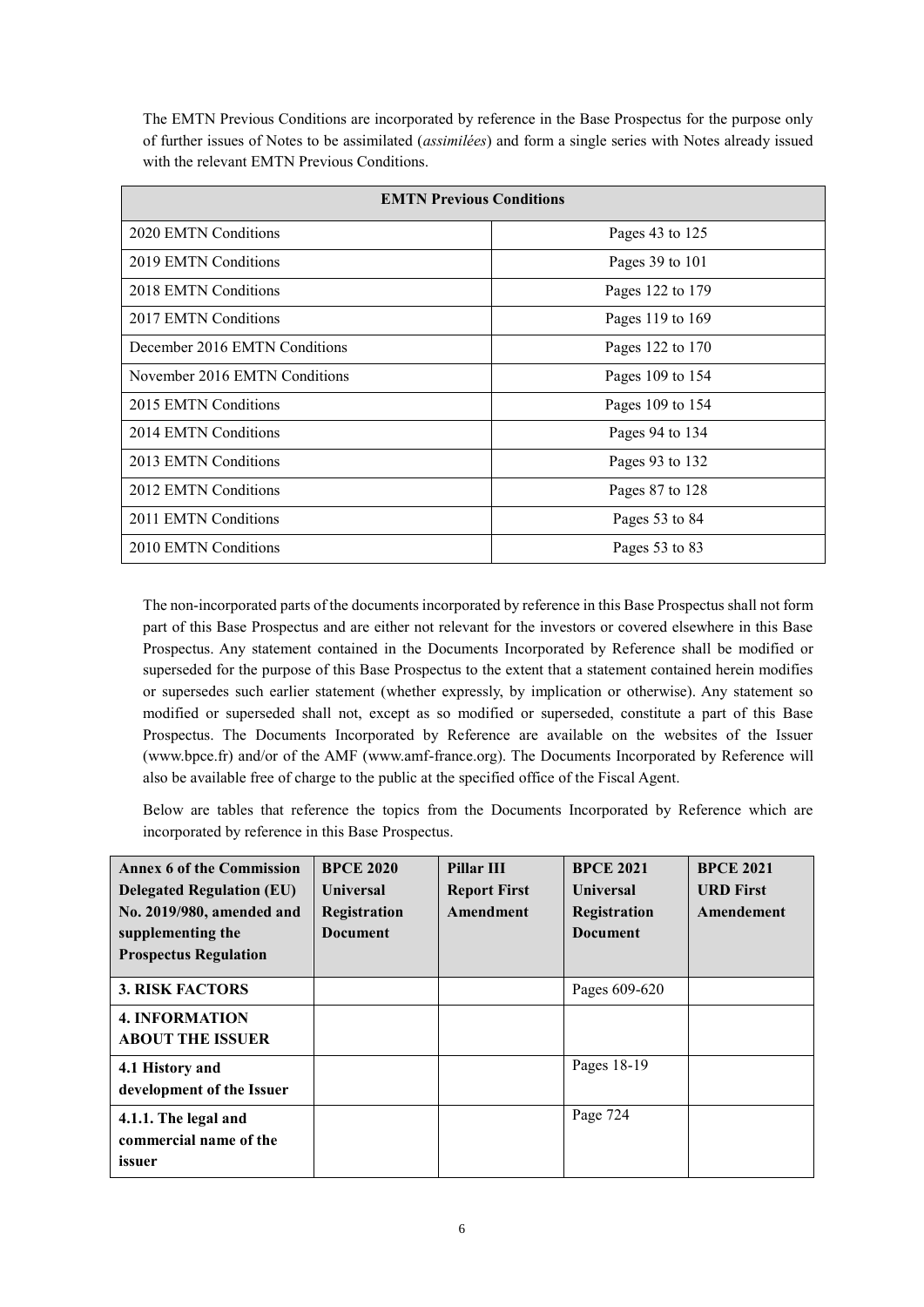The EMTN Previous Conditions are incorporated by reference in the Base Prospectus for the purpose only of further issues of Notes to be assimilated (*assimilées*) and form a single series with Notes already issued with the relevant EMTN Previous Conditions.

| <b>EMTN Previous Conditions</b> |                  |  |  |  |
|---------------------------------|------------------|--|--|--|
| 2020 EMTN Conditions            | Pages 43 to 125  |  |  |  |
| 2019 EMTN Conditions            | Pages 39 to 101  |  |  |  |
| 2018 EMTN Conditions            | Pages 122 to 179 |  |  |  |
| 2017 EMTN Conditions            | Pages 119 to 169 |  |  |  |
| December 2016 EMTN Conditions   | Pages 122 to 170 |  |  |  |
| November 2016 EMTN Conditions   | Pages 109 to 154 |  |  |  |
| 2015 EMTN Conditions            | Pages 109 to 154 |  |  |  |
| 2014 EMTN Conditions            | Pages 94 to 134  |  |  |  |
| 2013 EMTN Conditions            | Pages 93 to 132  |  |  |  |
| 2012 EMTN Conditions            | Pages 87 to 128  |  |  |  |
| 2011 EMTN Conditions            | Pages 53 to 84   |  |  |  |
| 2010 EMTN Conditions            | Pages 53 to 83   |  |  |  |

The non-incorporated parts of the documents incorporated by reference in this Base Prospectus shall not form part of this Base Prospectus and are either not relevant for the investors or covered elsewhere in this Base Prospectus. Any statement contained in the Documents Incorporated by Reference shall be modified or superseded for the purpose of this Base Prospectus to the extent that a statement contained herein modifies or supersedes such earlier statement (whether expressly, by implication or otherwise). Any statement so modified or superseded shall not, except as so modified or superseded, constitute a part of this Base Prospectus. The Documents Incorporated by Reference are available on the websites of the Issuer (www.bpce.fr) and/or of the AMF (www.amf-france.org). The Documents Incorporated by Reference will also be available free of charge to the public at the specified office of the Fiscal Agent.

Below are tables that reference the topics from the Documents Incorporated by Reference which are incorporated by reference in this Base Prospectus.

| <b>Annex 6 of the Commission</b><br><b>Delegated Regulation (EU)</b><br>No. 2019/980, amended and<br>supplementing the<br><b>Prospectus Regulation</b> | <b>BPCE 2020</b><br><b>Universal</b><br>Registration<br>Document | Pillar III<br><b>Report First</b><br>Amendment | <b>BPCE 2021</b><br><b>Universal</b><br>Registration<br><b>Document</b> | <b>BPCE 2021</b><br><b>URD First</b><br>Amendement |
|--------------------------------------------------------------------------------------------------------------------------------------------------------|------------------------------------------------------------------|------------------------------------------------|-------------------------------------------------------------------------|----------------------------------------------------|
| <b>3. RISK FACTORS</b>                                                                                                                                 |                                                                  |                                                | Pages 609-620                                                           |                                                    |
| <b>4. INFORMATION</b><br><b>ABOUT THE ISSUER</b>                                                                                                       |                                                                  |                                                |                                                                         |                                                    |
| 4.1 History and<br>development of the Issuer                                                                                                           |                                                                  |                                                | Pages 18-19                                                             |                                                    |
| 4.1.1. The legal and<br>commercial name of the<br>issuer                                                                                               |                                                                  |                                                | Page 724                                                                |                                                    |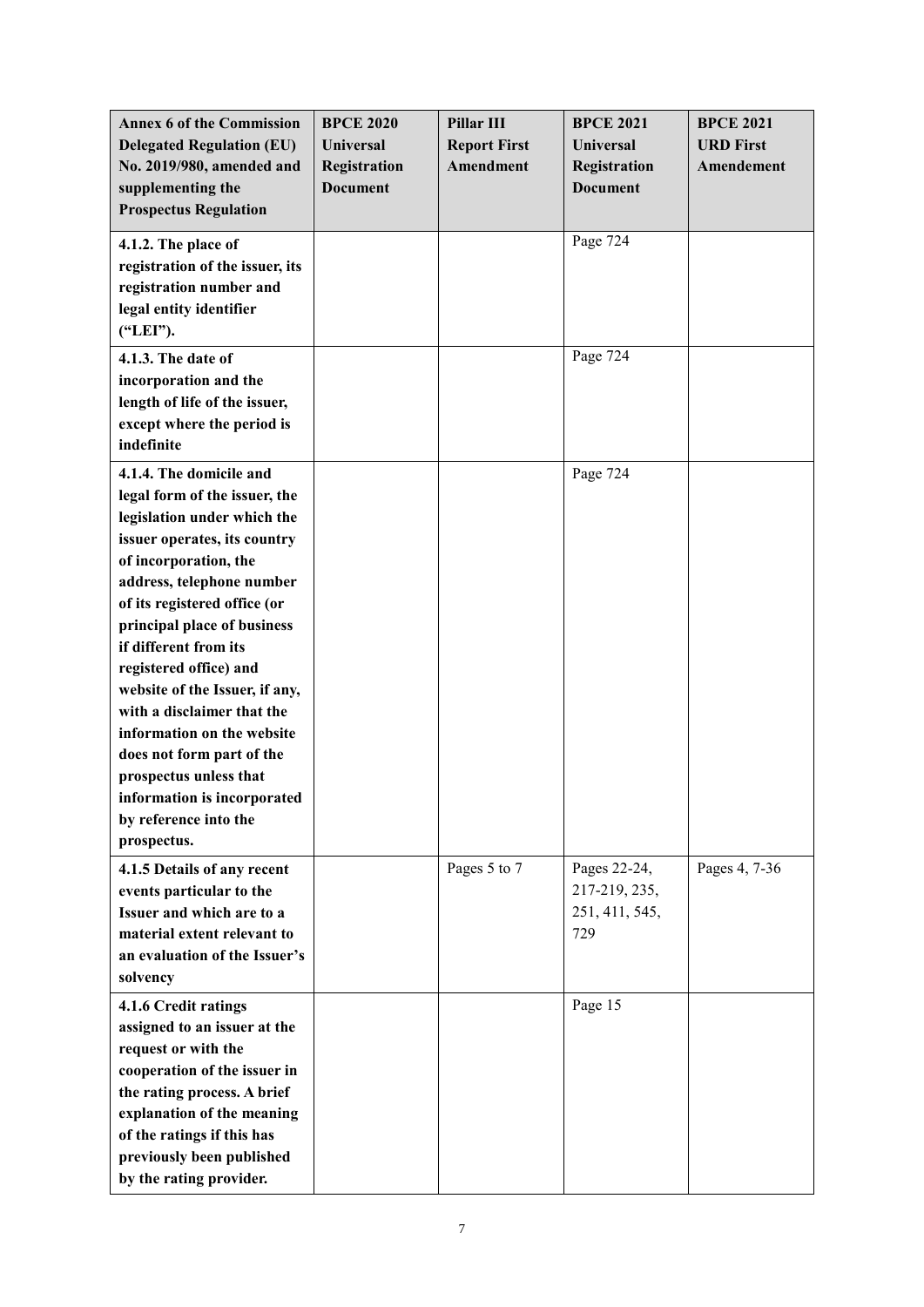| <b>Annex 6 of the Commission</b><br><b>Delegated Regulation (EU)</b> | <b>BPCE 2020</b><br>Universal | Pillar III<br><b>Report First</b> | <b>BPCE 2021</b><br><b>Universal</b> | <b>BPCE 2021</b><br><b>URD First</b> |
|----------------------------------------------------------------------|-------------------------------|-----------------------------------|--------------------------------------|--------------------------------------|
| No. 2019/980, amended and                                            | Registration                  | <b>Amendment</b>                  | Registration                         | Amendement                           |
| supplementing the                                                    | <b>Document</b>               |                                   | <b>Document</b>                      |                                      |
| <b>Prospectus Regulation</b>                                         |                               |                                   |                                      |                                      |
| 4.1.2. The place of                                                  |                               |                                   | Page 724                             |                                      |
| registration of the issuer, its                                      |                               |                                   |                                      |                                      |
| registration number and                                              |                               |                                   |                                      |                                      |
| legal entity identifier                                              |                               |                                   |                                      |                                      |
| ("LEI").                                                             |                               |                                   |                                      |                                      |
| 4.1.3. The date of                                                   |                               |                                   | Page $72\overline{4}$                |                                      |
| incorporation and the                                                |                               |                                   |                                      |                                      |
| length of life of the issuer,                                        |                               |                                   |                                      |                                      |
| except where the period is<br>indefinite                             |                               |                                   |                                      |                                      |
|                                                                      |                               |                                   |                                      |                                      |
| 4.1.4. The domicile and                                              |                               |                                   | Page 724                             |                                      |
| legal form of the issuer, the                                        |                               |                                   |                                      |                                      |
| legislation under which the                                          |                               |                                   |                                      |                                      |
| issuer operates, its country                                         |                               |                                   |                                      |                                      |
| of incorporation, the<br>address, telephone number                   |                               |                                   |                                      |                                      |
| of its registered office (or                                         |                               |                                   |                                      |                                      |
| principal place of business                                          |                               |                                   |                                      |                                      |
| if different from its                                                |                               |                                   |                                      |                                      |
| registered office) and                                               |                               |                                   |                                      |                                      |
| website of the Issuer, if any,                                       |                               |                                   |                                      |                                      |
| with a disclaimer that the                                           |                               |                                   |                                      |                                      |
| information on the website                                           |                               |                                   |                                      |                                      |
| does not form part of the                                            |                               |                                   |                                      |                                      |
| prospectus unless that                                               |                               |                                   |                                      |                                      |
| information is incorporated                                          |                               |                                   |                                      |                                      |
| by reference into the                                                |                               |                                   |                                      |                                      |
| prospectus.                                                          |                               |                                   |                                      |                                      |
| 4.1.5 Details of any recent                                          |                               | Pages 5 to 7                      | Pages 22-24,                         | Pages 4, 7-36                        |
| events particular to the                                             |                               |                                   | 217-219, 235,                        |                                      |
| Issuer and which are to a                                            |                               |                                   | 251, 411, 545,                       |                                      |
| material extent relevant to                                          |                               |                                   | 729                                  |                                      |
| an evaluation of the Issuer's                                        |                               |                                   |                                      |                                      |
| solvency                                                             |                               |                                   |                                      |                                      |
| 4.1.6 Credit ratings                                                 |                               |                                   | Page 15                              |                                      |
| assigned to an issuer at the                                         |                               |                                   |                                      |                                      |
| request or with the                                                  |                               |                                   |                                      |                                      |
| cooperation of the issuer in                                         |                               |                                   |                                      |                                      |
| the rating process. A brief                                          |                               |                                   |                                      |                                      |
| explanation of the meaning<br>of the ratings if this has             |                               |                                   |                                      |                                      |
| previously been published                                            |                               |                                   |                                      |                                      |
| by the rating provider.                                              |                               |                                   |                                      |                                      |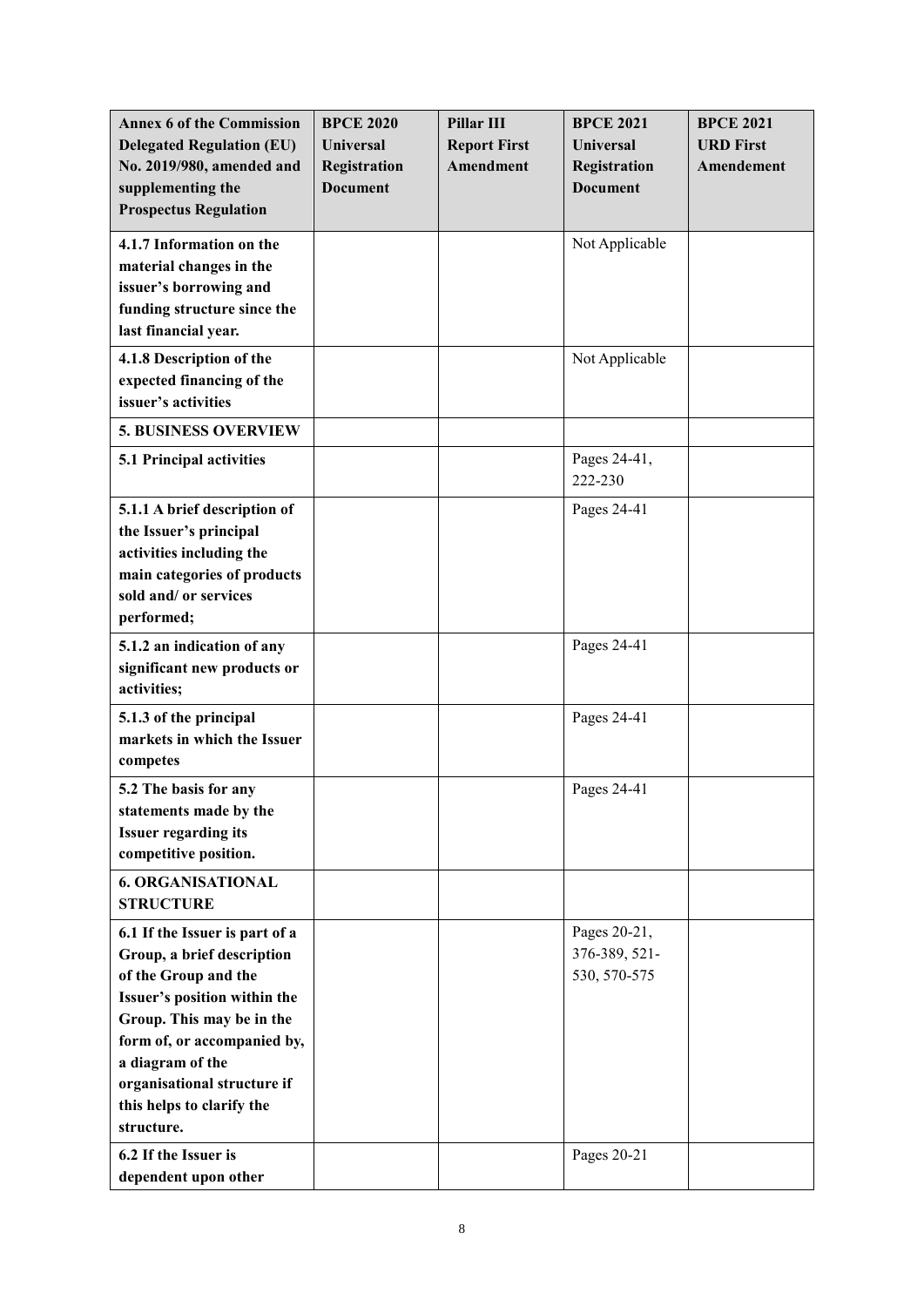| <b>Annex 6 of the Commission</b><br><b>Delegated Regulation (EU)</b><br>No. 2019/980, amended and<br>supplementing the                                                                                                                                                         | <b>BPCE 2020</b><br><b>Universal</b><br>Registration<br><b>Document</b> | Pillar III<br><b>Report First</b><br>Amendment | <b>BPCE 2021</b><br><b>Universal</b><br>Registration<br><b>Document</b> | <b>BPCE 2021</b><br><b>URD First</b><br>Amendement |
|--------------------------------------------------------------------------------------------------------------------------------------------------------------------------------------------------------------------------------------------------------------------------------|-------------------------------------------------------------------------|------------------------------------------------|-------------------------------------------------------------------------|----------------------------------------------------|
| <b>Prospectus Regulation</b>                                                                                                                                                                                                                                                   |                                                                         |                                                |                                                                         |                                                    |
| 4.1.7 Information on the<br>material changes in the<br>issuer's borrowing and<br>funding structure since the<br>last financial year.                                                                                                                                           |                                                                         |                                                | Not Applicable                                                          |                                                    |
| 4.1.8 Description of the<br>expected financing of the<br>issuer's activities                                                                                                                                                                                                   |                                                                         |                                                | Not Applicable                                                          |                                                    |
| <b>5. BUSINESS OVERVIEW</b>                                                                                                                                                                                                                                                    |                                                                         |                                                |                                                                         |                                                    |
| 5.1 Principal activities                                                                                                                                                                                                                                                       |                                                                         |                                                | Pages 24-41,<br>222-230                                                 |                                                    |
| 5.1.1 A brief description of<br>the Issuer's principal<br>activities including the<br>main categories of products<br>sold and/ or services<br>performed;                                                                                                                       |                                                                         |                                                | Pages 24-41                                                             |                                                    |
| 5.1.2 an indication of any<br>significant new products or<br>activities;                                                                                                                                                                                                       |                                                                         |                                                | Pages 24-41                                                             |                                                    |
| 5.1.3 of the principal<br>markets in which the Issuer<br>competes                                                                                                                                                                                                              |                                                                         |                                                | Pages 24-41                                                             |                                                    |
| 5.2 The basis for any<br>statements made by the<br><b>Issuer regarding its</b><br>competitive position.                                                                                                                                                                        |                                                                         |                                                | Pages 24-41                                                             |                                                    |
| <b>6. ORGANISATIONAL</b><br><b>STRUCTURE</b>                                                                                                                                                                                                                                   |                                                                         |                                                |                                                                         |                                                    |
| 6.1 If the Issuer is part of a<br>Group, a brief description<br>of the Group and the<br>Issuer's position within the<br>Group. This may be in the<br>form of, or accompanied by,<br>a diagram of the<br>organisational structure if<br>this helps to clarify the<br>structure. |                                                                         |                                                | Pages 20-21,<br>376-389, 521-<br>530, 570-575                           |                                                    |
| 6.2 If the Issuer is<br>dependent upon other                                                                                                                                                                                                                                   |                                                                         |                                                | Pages 20-21                                                             |                                                    |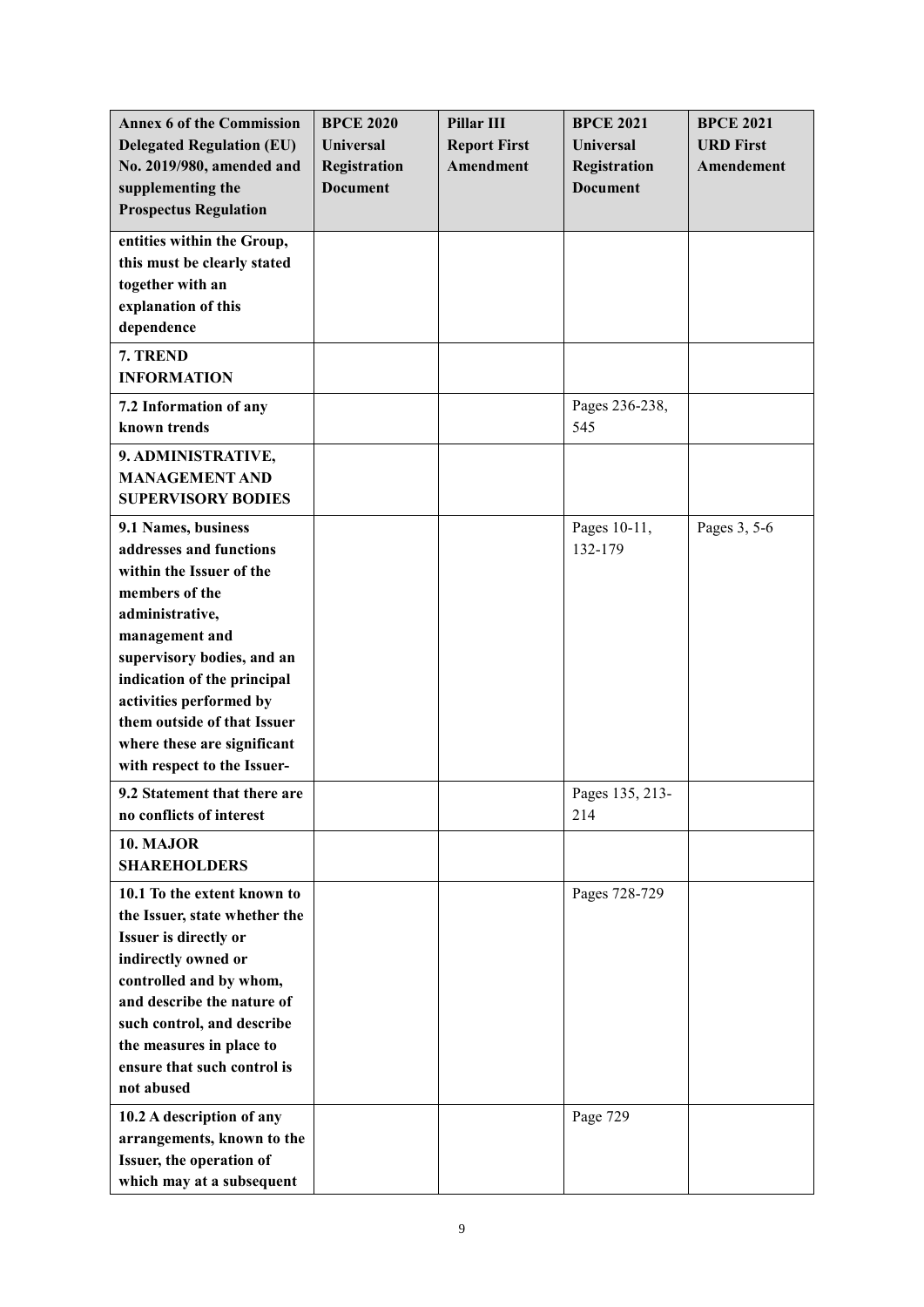| <b>Annex 6 of the Commission</b> | <b>BPCE 2020</b> | Pillar III          | <b>BPCE 2021</b> | <b>BPCE 2021</b> |
|----------------------------------|------------------|---------------------|------------------|------------------|
| <b>Delegated Regulation (EU)</b> | <b>Universal</b> | <b>Report First</b> | Universal        | <b>URD First</b> |
| No. 2019/980, amended and        | Registration     | Amendment           | Registration     | Amendement       |
| supplementing the                | <b>Document</b>  |                     | <b>Document</b>  |                  |
| <b>Prospectus Regulation</b>     |                  |                     |                  |                  |
|                                  |                  |                     |                  |                  |
| entities within the Group,       |                  |                     |                  |                  |
| this must be clearly stated      |                  |                     |                  |                  |
| together with an                 |                  |                     |                  |                  |
| explanation of this              |                  |                     |                  |                  |
| dependence                       |                  |                     |                  |                  |
| 7. TREND                         |                  |                     |                  |                  |
| <b>INFORMATION</b>               |                  |                     |                  |                  |
| 7.2 Information of any           |                  |                     | Pages 236-238,   |                  |
| known trends                     |                  |                     | 545              |                  |
| 9. ADMINISTRATIVE,               |                  |                     |                  |                  |
| <b>MANAGEMENT AND</b>            |                  |                     |                  |                  |
| <b>SUPERVISORY BODIES</b>        |                  |                     |                  |                  |
| 9.1 Names, business              |                  |                     | Pages 10-11,     | Pages 3, 5-6     |
| addresses and functions          |                  |                     | 132-179          |                  |
| within the Issuer of the         |                  |                     |                  |                  |
| members of the                   |                  |                     |                  |                  |
| administrative,                  |                  |                     |                  |                  |
| management and                   |                  |                     |                  |                  |
| supervisory bodies, and an       |                  |                     |                  |                  |
| indication of the principal      |                  |                     |                  |                  |
| activities performed by          |                  |                     |                  |                  |
| them outside of that Issuer      |                  |                     |                  |                  |
| where these are significant      |                  |                     |                  |                  |
| with respect to the Issuer-      |                  |                     |                  |                  |
| 9.2 Statement that there are     |                  |                     | Pages 135, 213-  |                  |
| no conflicts of interest         |                  |                     | 214              |                  |
| 10. MAJOR                        |                  |                     |                  |                  |
| <b>SHAREHOLDERS</b>              |                  |                     |                  |                  |
| 10.1 To the extent known to      |                  |                     | Pages 728-729    |                  |
| the Issuer, state whether the    |                  |                     |                  |                  |
| Issuer is directly or            |                  |                     |                  |                  |
| indirectly owned or              |                  |                     |                  |                  |
| controlled and by whom,          |                  |                     |                  |                  |
| and describe the nature of       |                  |                     |                  |                  |
| such control, and describe       |                  |                     |                  |                  |
| the measures in place to         |                  |                     |                  |                  |
| ensure that such control is      |                  |                     |                  |                  |
| not abused                       |                  |                     |                  |                  |
| 10.2 A description of any        |                  |                     | Page 729         |                  |
| arrangements, known to the       |                  |                     |                  |                  |
| Issuer, the operation of         |                  |                     |                  |                  |
| which may at a subsequent        |                  |                     |                  |                  |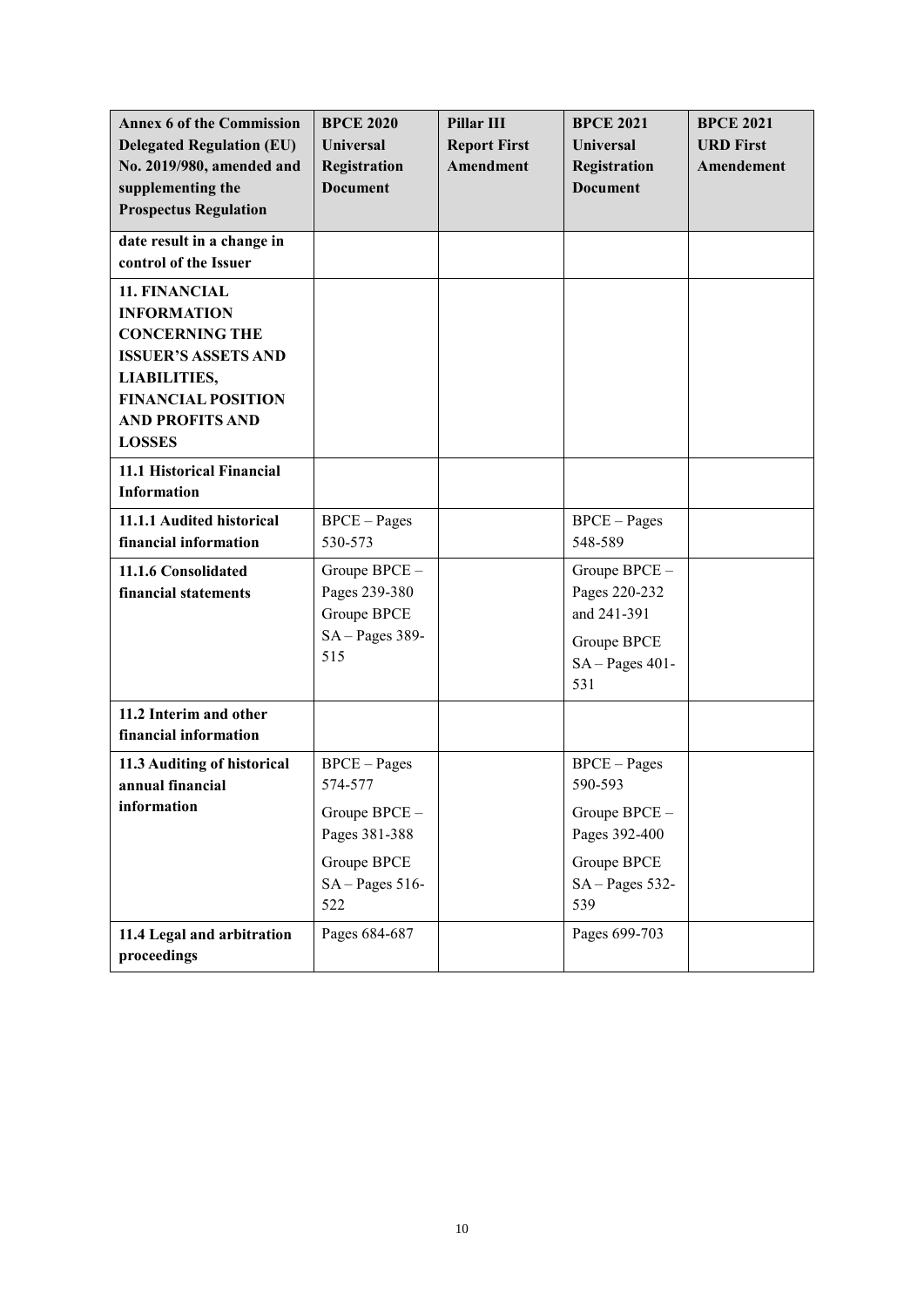| <b>Annex 6 of the Commission</b><br><b>Delegated Regulation (EU)</b><br>No. 2019/980, amended and<br>supplementing the<br><b>Prospectus Regulation</b>                                    | <b>BPCE 2020</b><br><b>Universal</b><br><b>Registration</b><br><b>Document</b>                     | <b>Pillar III</b><br><b>Report First</b><br>Amendment | <b>BPCE 2021</b><br><b>Universal</b><br>Registration<br><b>Document</b>                               | <b>BPCE 2021</b><br><b>URD First</b><br>Amendement |
|-------------------------------------------------------------------------------------------------------------------------------------------------------------------------------------------|----------------------------------------------------------------------------------------------------|-------------------------------------------------------|-------------------------------------------------------------------------------------------------------|----------------------------------------------------|
| date result in a change in<br>control of the Issuer                                                                                                                                       |                                                                                                    |                                                       |                                                                                                       |                                                    |
| 11. FINANCIAL<br><b>INFORMATION</b><br><b>CONCERNING THE</b><br><b>ISSUER'S ASSETS AND</b><br><b>LIABILITIES,</b><br><b>FINANCIAL POSITION</b><br><b>AND PROFITS AND</b><br><b>LOSSES</b> |                                                                                                    |                                                       |                                                                                                       |                                                    |
| 11.1 Historical Financial<br><b>Information</b>                                                                                                                                           |                                                                                                    |                                                       |                                                                                                       |                                                    |
| 11.1.1 Audited historical<br>financial information                                                                                                                                        | $BPCE-Pages$<br>530-573                                                                            |                                                       | <b>BPCE</b> – Pages<br>548-589                                                                        |                                                    |
| 11.1.6 Consolidated<br>financial statements                                                                                                                                               | Groupe BPCE -<br>Pages 239-380<br>Groupe BPCE<br>$SA-Pages 389-$<br>515                            |                                                       | Groupe BPCE -<br>Pages 220-232<br>and 241-391<br>Groupe BPCE<br>$SA-Pages 401-$<br>531                |                                                    |
| 11.2 Interim and other<br>financial information                                                                                                                                           |                                                                                                    |                                                       |                                                                                                       |                                                    |
| 11.3 Auditing of historical<br>annual financial<br>information                                                                                                                            | $BPCE-Pages$<br>574-577<br>Groupe BPCE -<br>Pages 381-388<br>Groupe BPCE<br>$SA-Pages 516-$<br>522 |                                                       | $BPCE-Pages$<br>590-593<br>Groupe BPCE -<br>Pages 392-400<br>Groupe BPCE<br>$SA - Pages 532 -$<br>539 |                                                    |
| 11.4 Legal and arbitration<br>proceedings                                                                                                                                                 | Pages 684-687                                                                                      |                                                       | Pages 699-703                                                                                         |                                                    |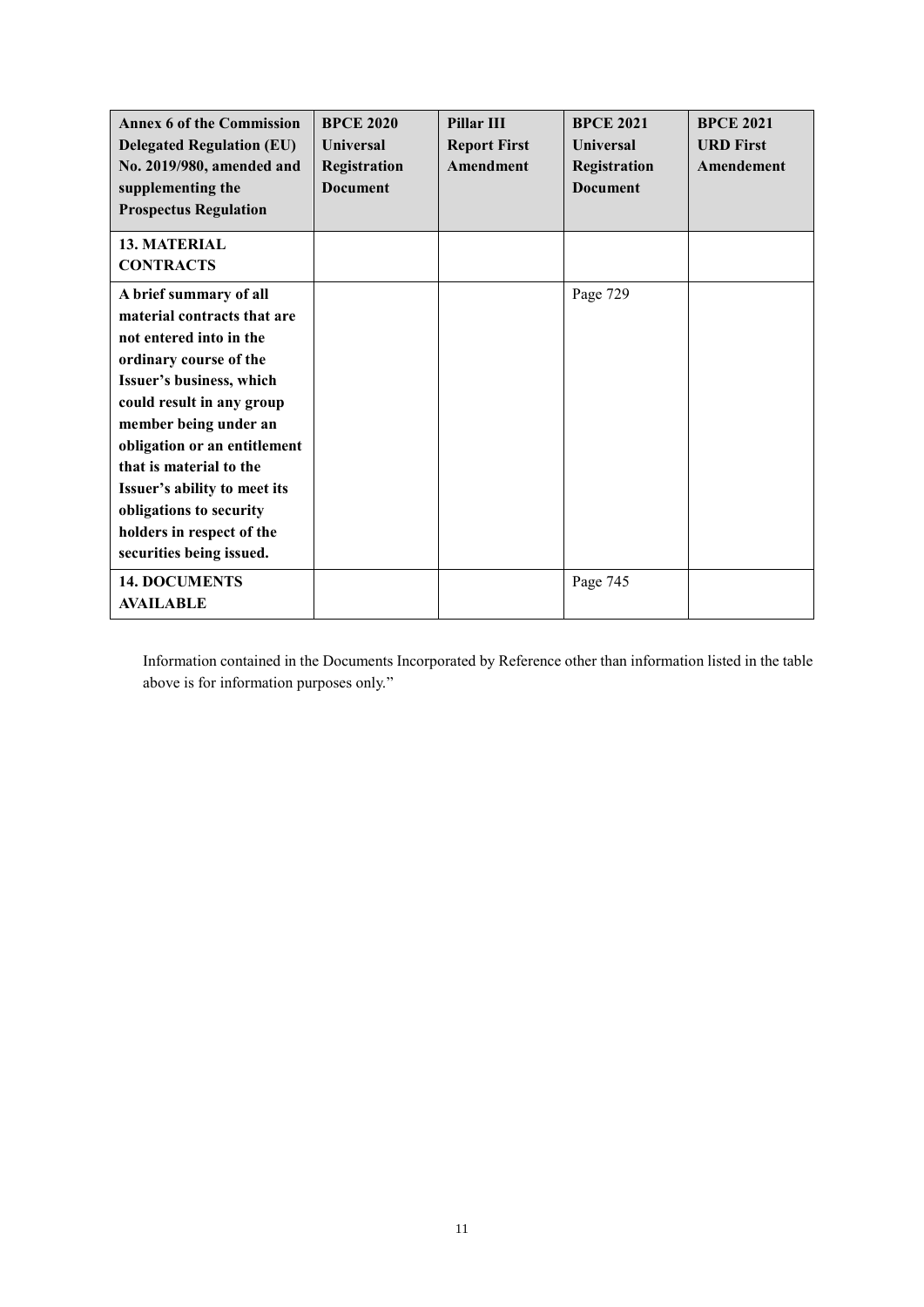| <b>Annex 6 of the Commission</b><br><b>Delegated Regulation (EU)</b><br>No. 2019/980, amended and<br>supplementing the<br><b>Prospectus Regulation</b>                                                                                                                                                                                                                      | <b>BPCE 2020</b><br><b>Universal</b><br>Registration<br><b>Document</b> | Pillar III<br><b>Report First</b><br>Amendment | <b>BPCE 2021</b><br><b>Universal</b><br>Registration<br><b>Document</b> | <b>BPCE 2021</b><br><b>URD First</b><br>Amendement |
|-----------------------------------------------------------------------------------------------------------------------------------------------------------------------------------------------------------------------------------------------------------------------------------------------------------------------------------------------------------------------------|-------------------------------------------------------------------------|------------------------------------------------|-------------------------------------------------------------------------|----------------------------------------------------|
| <b>13. MATERIAL</b><br><b>CONTRACTS</b>                                                                                                                                                                                                                                                                                                                                     |                                                                         |                                                |                                                                         |                                                    |
| A brief summary of all<br>material contracts that are<br>not entered into in the<br>ordinary course of the<br>Issuer's business, which<br>could result in any group<br>member being under an<br>obligation or an entitlement<br>that is material to the<br>Issuer's ability to meet its<br>obligations to security<br>holders in respect of the<br>securities being issued. |                                                                         |                                                | Page 729                                                                |                                                    |
| <b>14. DOCUMENTS</b><br><b>AVAILABLE</b>                                                                                                                                                                                                                                                                                                                                    |                                                                         |                                                | Page 745                                                                |                                                    |

Information contained in the Documents Incorporated by Reference other than information listed in the table above is for information purposes only."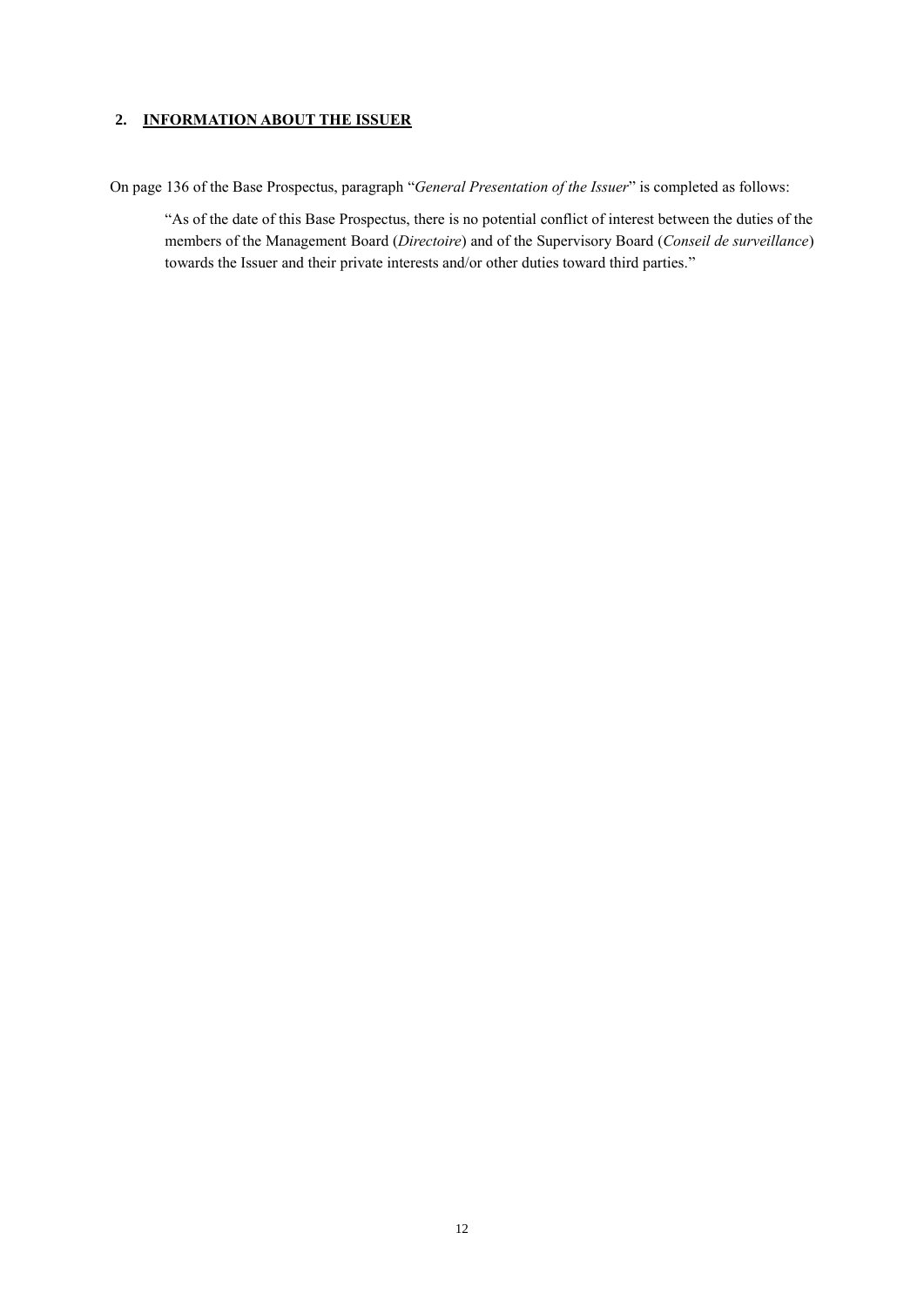## <span id="page-11-0"></span>**2. INFORMATION ABOUT THE ISSUER**

On page 136 of the Base Prospectus, paragraph "*General Presentation of the Issuer*" is completed as follows:

"As of the date of this Base Prospectus, there is no potential conflict of interest between the duties of the members of the Management Board (*Directoire*) and of the Supervisory Board (*Conseil de surveillance*) towards the Issuer and their private interests and/or other duties toward third parties."